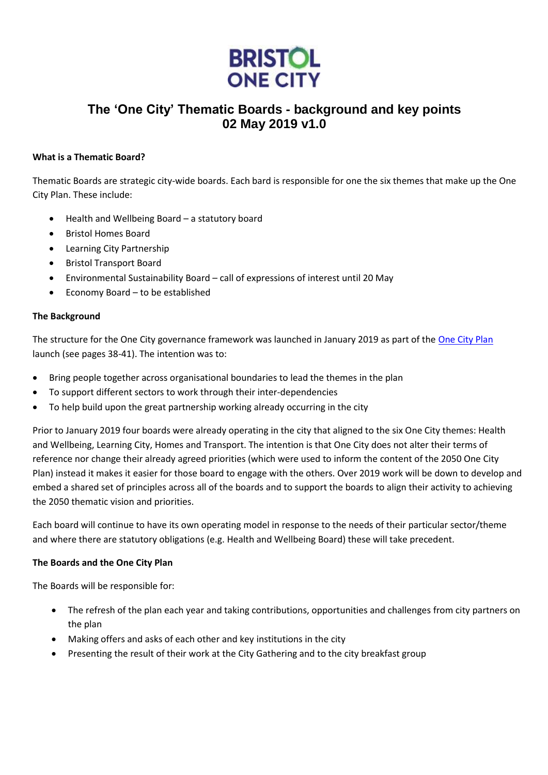

# **The 'One City' Thematic Boards - background and key points 02 May 2019 v1.0**

## **What is a Thematic Board?**

Thematic Boards are strategic city-wide boards. Each bard is responsible for one the six themes that make up the One City Plan. These include:

- Health and Wellbeing Board a statutory board
- Bristol Homes Board
- Learning City Partnership
- Bristol Transport Board
- Environmental Sustainability Board call of expressions of interest until 20 May
- Economy Board to be established

## **The Background**

The structure for the One City governance framework was launched in January 2019 as part of the [One City Plan](https://www.bristolonecity.com/one-city-plan/) launch (see pages 38-41). The intention was to:

- Bring people together across organisational boundaries to lead the themes in the plan
- To support different sectors to work through their inter-dependencies
- To help build upon the great partnership working already occurring in the city

Prior to January 2019 four boards were already operating in the city that aligned to the six One City themes: Health and Wellbeing, Learning City, Homes and Transport. The intention is that One City does not alter their terms of reference nor change their already agreed priorities (which were used to inform the content of the 2050 One City Plan) instead it makes it easier for those board to engage with the others. Over 2019 work will be down to develop and embed a shared set of principles across all of the boards and to support the boards to align their activity to achieving the 2050 thematic vision and priorities.

Each board will continue to have its own operating model in response to the needs of their particular sector/theme and where there are statutory obligations (e.g. Health and Wellbeing Board) these will take precedent.

## **The Boards and the One City Plan**

The Boards will be responsible for:

- The refresh of the plan each year and taking contributions, opportunities and challenges from city partners on the plan
- Making offers and asks of each other and key institutions in the city
- Presenting the result of their work at the City Gathering and to the city breakfast group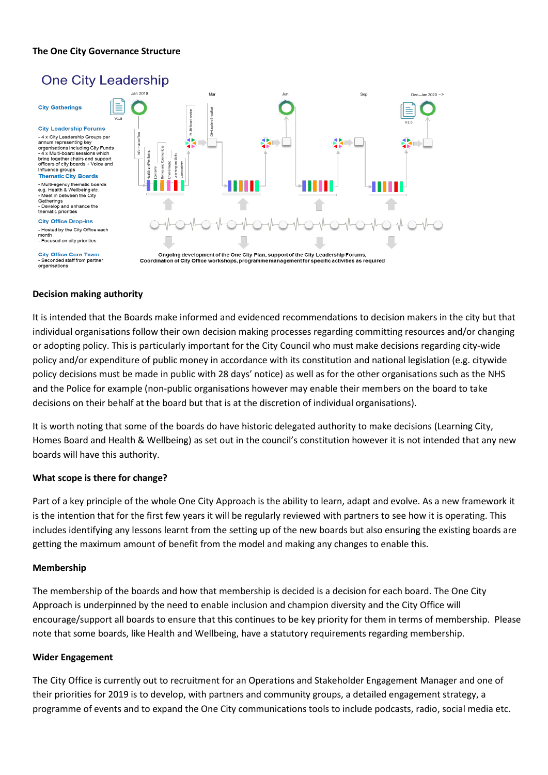## **The One City Governance Structure**



### **Decision making authority**

It is intended that the Boards make informed and evidenced recommendations to decision makers in the city but that individual organisations follow their own decision making processes regarding committing resources and/or changing or adopting policy. This is particularly important for the City Council who must make decisions regarding city-wide policy and/or expenditure of public money in accordance with its constitution and national legislation (e.g. citywide policy decisions must be made in public with 28 days' notice) as well as for the other organisations such as the NHS and the Police for example (non-public organisations however may enable their members on the board to take decisions on their behalf at the board but that is at the discretion of individual organisations).

It is worth noting that some of the boards do have historic delegated authority to make decisions (Learning City, Homes Board and Health & Wellbeing) as set out in the council's constitution however it is not intended that any new boards will have this authority.

#### **What scope is there for change?**

Part of a key principle of the whole One City Approach is the ability to learn, adapt and evolve. As a new framework it is the intention that for the first few years it will be regularly reviewed with partners to see how it is operating. This includes identifying any lessons learnt from the setting up of the new boards but also ensuring the existing boards are getting the maximum amount of benefit from the model and making any changes to enable this.

#### **Membership**

The membership of the boards and how that membership is decided is a decision for each board. The One City Approach is underpinned by the need to enable inclusion and champion diversity and the City Office will encourage/support all boards to ensure that this continues to be key priority for them in terms of membership. Please note that some boards, like Health and Wellbeing, have a statutory requirements regarding membership.

#### **Wider Engagement**

The City Office is currently out to recruitment for an Operations and Stakeholder Engagement Manager and one of their priorities for 2019 is to develop, with partners and community groups, a detailed engagement strategy, a programme of events and to expand the One City communications tools to include podcasts, radio, social media etc.